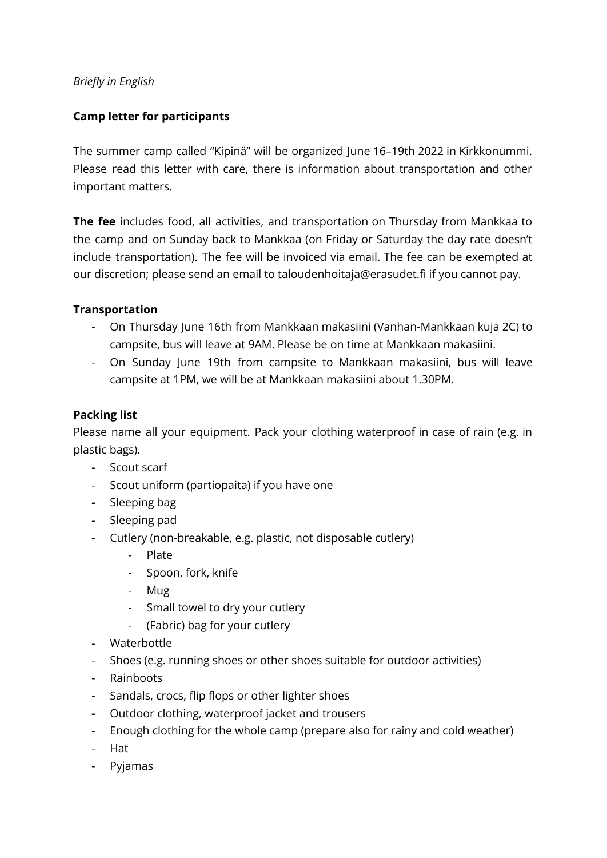## *Briefly in English*

## **Camp letter for participants**

The summer camp called "Kipinä" will be organized June 16–19th 2022 in Kirkkonummi. Please read this letter with care, there is information about transportation and other important matters.

**The fee** includes food, all activities, and transportation on Thursday from Mankkaa to the camp and on Sunday back to Mankkaa (on Friday or Saturday the day rate doesn't include transportation). The fee will be invoiced via email. The fee can be exempted at our discretion; please send an email to taloudenhoitaja@erasudet.fi if you cannot pay.

## **Transportation**

- On Thursday June 16th from Mankkaan makasiini (Vanhan-Mankkaan kuja 2C) to campsite, bus will leave at 9AM. Please be on time at Mankkaan makasiini.
- On Sunday June 19th from campsite to Mankkaan makasiini, bus will leave campsite at 1PM, we will be at Mankkaan makasiini about 1.30PM.

## **Packing list**

Please name all your equipment. Pack your clothing waterproof in case of rain (e.g. in plastic bags).

- **-** Scout scarf
- Scout uniform (partiopaita) if you have one
- **-** Sleeping bag
- **-** Sleeping pad
- **-** Cutlery (non-breakable, e.g. plastic, not disposable cutlery)
	- Plate
	- Spoon, fork, knife
	- Mug
	- Small towel to dry your cutlery
	- (Fabric) bag for your cutlery
- **-** Waterbottle
- Shoes (e.g. running shoes or other shoes suitable for outdoor activities)
- Rainboots
- Sandals, crocs, flip flops or other lighter shoes
- **-** Outdoor clothing, waterproof jacket and trousers
- Enough clothing for the whole camp (prepare also for rainy and cold weather)
- Hat
- Pyjamas